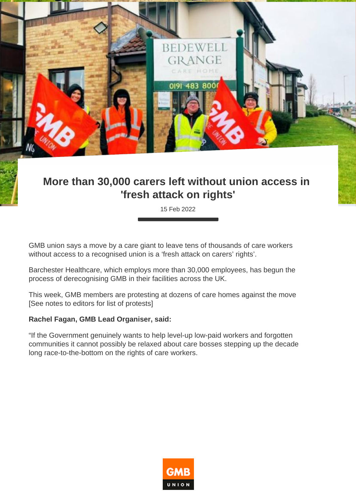

## **More than 30,000 carers left without union access in 'fresh attack on rights'**

15 Feb 2022

GMB union says a move by a care giant to leave tens of thousands of care workers without access to a recognised union is a 'fresh attack on carers' rights'.

Barchester Healthcare, which employs more than 30,000 employees, has begun the process of derecognising GMB in their facilities across the UK.

This week, GMB members are protesting at dozens of care homes against the move [See notes to editors for list of protests]

## **Rachel Fagan, GMB Lead Organiser, said:**

"If the Government genuinely wants to help level-up low-paid workers and forgotten communities it cannot possibly be relaxed about care bosses stepping up the decade long race-to-the-bottom on the rights of care workers.

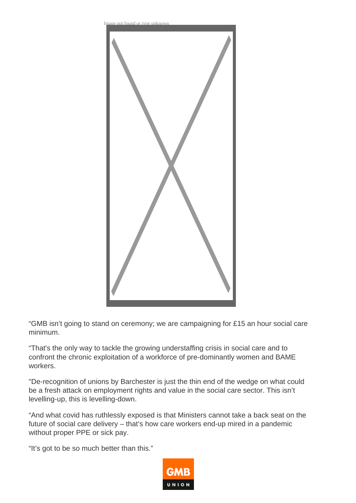

"GMB isn't going to stand on ceremony; we are campaigning for £15 an hour social care minimum.

"That's the only way to tackle the growing understaffing crisis in social care and to confront the chronic exploitation of a workforce of pre-dominantly women and BAME workers.

"De-recognition of unions by Barchester is just the thin end of the wedge on what could be a fresh attack on employment rights and value in the social care sector. This isn't levelling-up, this is levelling-down.

"And what covid has ruthlessly exposed is that Ministers cannot take a back seat on the future of social care delivery – that's how care workers end-up mired in a pandemic without proper PPE or sick pay.

"It's got to be so much better than this."